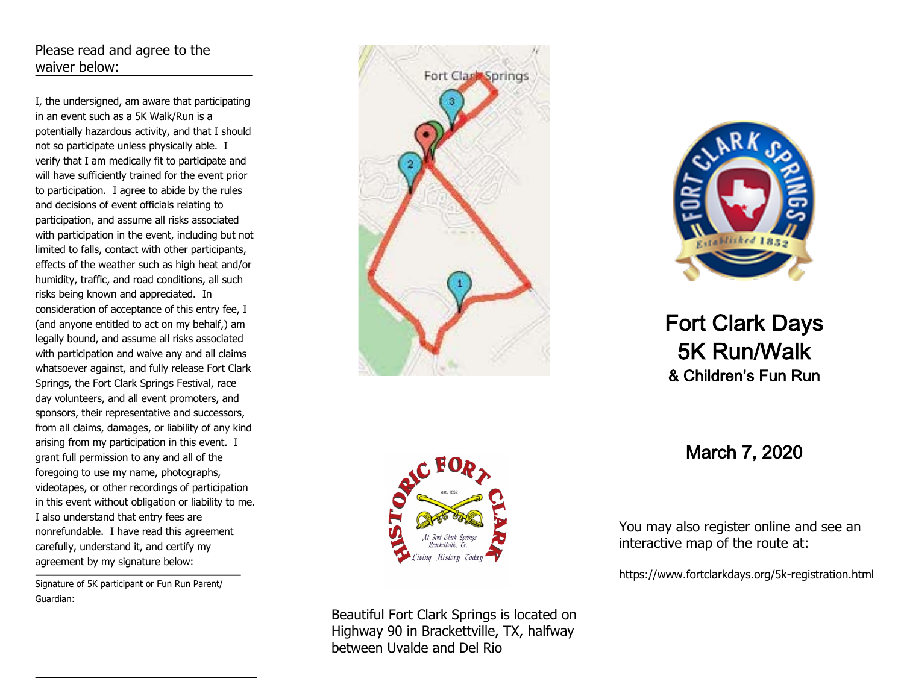# Please read and agree to the waiver below:

I, the undersigned, am aware that participating in an event such as a 5K Walk/Run is a potentially hazardous activity, and that I should not so participate unless physically able. I verify that I am medically fit to participate and will have sufficiently trained for the event prior to participation. I agree to abide by the rules and decisions of event officials relating to participation, and assume all risks associated with participation in the event, including but not limited to falls, contact with other participants, effects of the weather such as high heat and/or humidity, traffic, and road conditions, all such risks being known and appreciated. In consideration of acceptance of this entry fee, I (and anyone entitled to act on my behalf,) am legally bound, and assume all risks associated with participation and waive any and all claims whatsoever against, and fully release Fort Clark Springs, the Fort Clark Springs Festival, race day volunteers, and all event promoters, and sponsors, their representative and successors, from all claims, damages, or liability of any kind arising from my participation in this event. I grant full permission to any and all of the foregoing to use my name, photographs, videotapes, or other recordings of participation in this event without obligation or liability to me. I also understand that entry fees are nonrefundable. I have read this agreement carefully, understand it, and certify my agreement by my signature below:

Signature of 5K participant or Fun Run Parent/ Guardian:





Beautiful Fort Clark Springs is located on Highway 90 in Brackettville, TX, halfway between Uvalde and Del Rio



# Fort Clark Days 5K Run/Walk & Children's Fun Run

March 7, 2020

a<br> **Baat**<br>
Springs *A* **isc**<br>m<br>fol ب<br>1<br>ala lis<br>if<br>kd er<br>he<br>ays You may also register online and see an interactive map of the route at:

**a** https://www.fortclarkdays.org/5k-registration.html